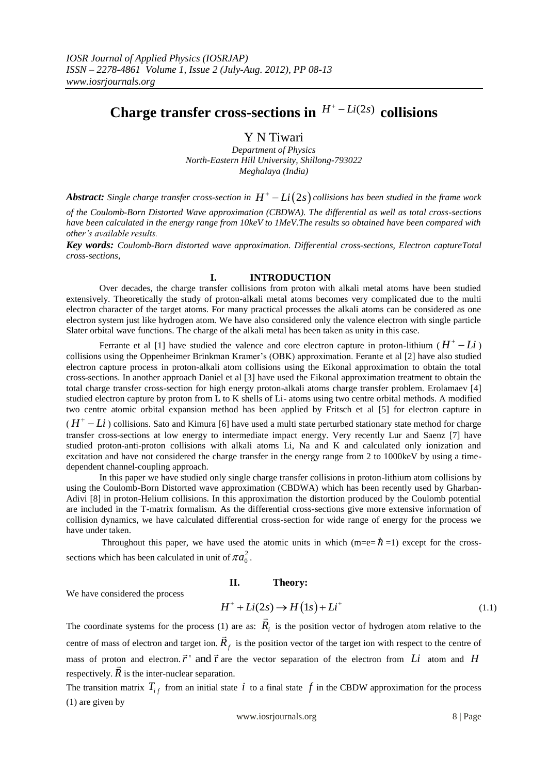# Charge transfer cross-sections in  $H^+ - Li(2s)$  collisions

Y N Tiwari

*Department of Physics North-Eastern Hill University, Shillong-793022 Meghalaya (India)*

**Abstract:** Single charge transfer cross-section in  $H^+ - Li(2s)$  collisions has been studied in the frame work *of the Coulomb-Born Distorted Wave approximation (CBDWA). The differential as well as total cross-sections have been calculated in the energy range from 10keV to 1MeV.The results so obtained have been compared with other's available results.*

*Key words: Coulomb-Born distorted wave approximation. Differential cross-sections, Electron captureTotal cross-sections,*

### **I. INTRODUCTION**

Over decades, the charge transfer collisions from proton with alkali metal atoms have been studied extensively. Theoretically the study of proton-alkali metal atoms becomes very complicated due to the multi electron character of the target atoms. For many practical processes the alkali atoms can be considered as one electron system just like hydrogen atom. We have also considered only the valence electron with single particle Slater orbital wave functions. The charge of the alkali metal has been taken as unity in this case.

Ferrante et al [1] have studied the valence and core electron capture in proton-lithium ( $H^+ - Li$ ) collisions using the Oppenheimer Brinkman Kramer's (OBK) approximation. Ferante et al [2] have also studied electron capture process in proton-alkali atom collisions using the Eikonal approximation to obtain the total cross-sections. In another approach Daniel et al [3] have used the Eikonal approximation treatment to obtain the total charge transfer cross-section for high energy proton-alkali atoms charge transfer problem. Erolamaev [4] studied electron capture by proton from L to K shells of Li- atoms using two centre orbital methods. A modified two centre atomic orbital expansion method has been applied by Fritsch et al [5] for electron capture in

 $(H<sup>+</sup> - Li)$  collisions. Sato and Kimura [6] have used a multi state perturbed stationary state method for charge transfer cross-sections at low energy to intermediate impact energy. Very recently Lur and Saenz [7] have studied proton-anti-proton collisions with alkali atoms Li, Na and K and calculated only ionization and excitation and have not considered the charge transfer in the energy range from 2 to 1000keV by using a timedependent channel-coupling approach.

In this paper we have studied only single charge transfer collisions in proton-lithium atom collisions by using the Coulomb-Born Distorted wave approximation (CBDWA) which has been recently used by Gharban-Adivi [8] in proton-Helium collisions. In this approximation the distortion produced by the Coulomb potential are included in the T-matrix formalism. As the differential cross-sections give more extensive information of collision dynamics, we have calculated differential cross-section for wide range of energy for the process we have under taken.

Throughout this paper, we have used the atomic units in which  $(m=e=\hbar=1)$  except for the crosssections which has been calculated in unit of  $\pi a_0^2$ .

# **II. Theory:**

We have considered the process

#### we have considered the process<br> $H^+ + Li(2s) \rightarrow H(1s) + Li^+$ (1.1) ∫<br>⇒

The coordinate systems for the process (1) are as:  $\overline{R}_i$ 1) are as:  $R_i$  is the position vector of hydrogen atom relative to the centre of mass of electron and target ion.  $\vec{R}_f$  is the position vector of the target ion with respect to the centre of mass of proton and electron.  $\vec{r}$  and  $\vec{r}$  are the vector separation of the electron from Li atom and H respectively.  $\vec{R}$  is the inter-nuclear separation.

The transition matrix  $T_{if}$  from an initial state i to a final state f in the CBDW approximation for the process (1) are given by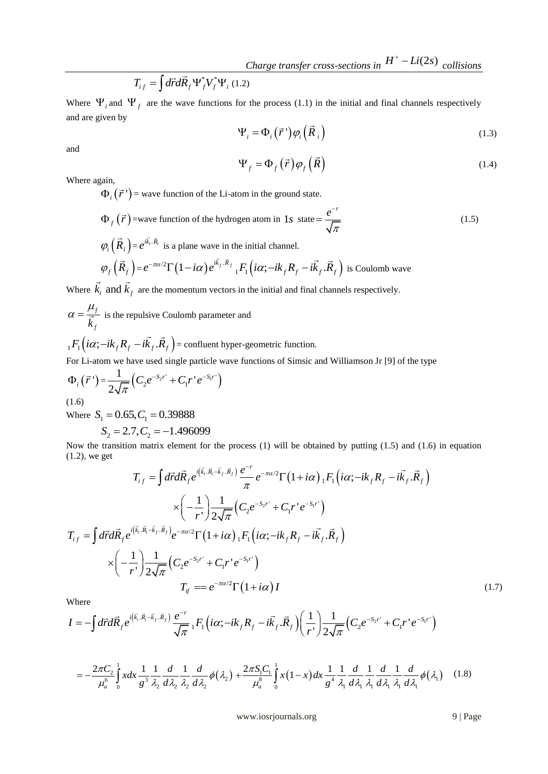$$
T_{if} = \int d\vec{r} d\vec{R}_f \Psi_f^* V_f^* \Psi_i (1.2)
$$

Where  $\Psi_i$  and  $\Psi_f$  are the wave functions for the process (1.1) in the initial and final channels respectively and are given by

$$
\Psi_i = \Phi_i(\vec{r}\,')\varphi_i(\vec{R}_i) \tag{1.3}
$$

and

$$
\Psi_f = \Phi_f(\vec{r}) \varphi_f(\vec{R}) \tag{1.4}
$$

Where again,

 $\Phi_i(\vec{r})$  = wave function of the Li-atom in the ground state.

$$
\Phi_f(\vec{r}) = \text{wave function of the hydrogen atom in 1s state} = \frac{e^{-r}}{\sqrt{\pi}}
$$
\n(1.5)

$$
\varphi_i\left(\vec{R}_i\right) = e^{i\vec{k}_i \cdot \vec{R}_i}
$$
 is a plane wave in the initial channel.  

$$
\varphi_f\left(\vec{R}_f\right) = e^{-\pi\alpha/2} \Gamma\left(1 - i\alpha\right) e^{i\vec{k}_f \cdot \vec{R}_f} \cdot {}_1F_1\left(i\alpha; -i k_f R_f - i\vec{k}_f \cdot \vec{R}_f\right)
$$

$$
\varphi_f\left(\vec{R}_f\right) = e^{-\pi\alpha/2}\Gamma\left(1 - i\alpha\right)e^{i\vec{k}_f \cdot \vec{R}_f} {}_1F_1\left(i\alpha; -ik_f R_f - i\vec{k}_f \cdot \vec{R}_f\right)
$$
 is Coulomb wave

Where  $k_i$  and  $k_f$ are the momentum vectors in the initial and final channels respectively.

*f f k*  $\alpha = \frac{\mu_f}{r}$  is the repulsive Coulomb parameter and

 $_{1}F_{1} (i\alpha ; -i k_{f} R_{f} -i \vec{k}_{f} . \vec{R}_{f})$ = confluent hyper-geometric function.

For Li-atom we have used single particle wave functions of Simsic and Williamson Jr [9] of the type

$$
\Phi_i(\vec{r}) = \frac{1}{2\sqrt{\pi}} \Big( C_2 e^{-S_2 r^2} + C_1 r^{\prime} e^{-S_1 r^2} \Big)
$$

(1.6)

Where  $S_1 = 0.65, C_1 = 0.39888$ 

$$
S_2 = 2.7, C_2 = -1.496099
$$

(1.2), we get Examplement for the process (1) will be obtained by putting (1.5) and (1.6) in equal<br>  $\vec{r}d\vec{R}_f e^{i(\vec{k}_i \cdot \vec{R}_i - \vec{k}_f \cdot \vec{R}_f)} \frac{e^{-r}}{r} e^{-\pi \alpha/2} \Gamma(1 + i\alpha) {}_1F_1(i\alpha; -ik_f R_f - i\vec{k}_f \cdot \vec{R}_f)$ 

Now the transition matrix element for the process (1) will be obtained by putting (1.5) and (1.6) in equation  
\n(1.2), we get  
\n
$$
T_{i f} = \int d\vec{r} d\vec{R}_f e^{i(\vec{k}_i \cdot \vec{R}_i - \vec{k}_f \cdot \vec{R}_f)} \frac{e^{-r}}{\pi} e^{-\pi \alpha/2} \Gamma(1 + i\alpha)_1 F_1(i\alpha; -ik_f R_f - i\vec{k}_f \cdot \vec{R}_f)
$$
\n
$$
\times \left(-\frac{1}{r}\right) \frac{1}{2\sqrt{\pi}} \left(C_2 e^{-S_2 r^+} + C_1 r^+ e^{-S_1 r^+}\right)
$$
\n
$$
T_{i f} = \int d\vec{r} d\vec{R}_f e^{i(\vec{k}_i \cdot \vec{R}_i - \vec{k}_f \cdot \vec{R}_f)} e^{-\pi \alpha/2} \Gamma(1 + i\alpha)_1 F_1(i\alpha; -ik_f R_f - i\vec{k}_f \cdot \vec{R}_f)
$$
\n
$$
\times \left(-\frac{1}{r}\right) \frac{1}{2\sqrt{\pi}} \left(C_2 e^{-S_2 r^+} + C_1 r^+ e^{-S_1 r^+}\right)
$$
\n
$$
T_{i f} = e^{-\pi \alpha/2} \Gamma(1 + i\alpha) I \qquad (1.7)
$$
\nWhere  
\n
$$
I = -\int d\vec{r} d\vec{R}_f e^{i(\vec{k}_i \cdot \vec{R}_i - \vec{k}_f \cdot \vec{R}_f)} \frac{e^{-r}}{r} \frac{1}{r} F_1(i\alpha; -ik_f R_f - i\vec{k}_f \cdot \vec{R}_f) \left(\frac{1}{r}\right) \frac{1}{2r} \left(C_2 e^{-S_2 r^+} + C_1 r^+ e^{-S_1 r^+}\right)
$$
\n(1.7)

Where

$$
(r')2\sqrt{\pi} \int_{T_f}^{T_f} = e^{-\pi\alpha/2}\Gamma(1+i\alpha)I
$$
  
Where  

$$
I = -\int d\vec{r}d\vec{R}_f e^{i(\vec{k}_i.\vec{R}_i-\vec{k}_f.\vec{R}_f)} \frac{e^{-r}}{\sqrt{\pi}} {}_1F_1\left(i\alpha; -ik_fR_f - i\vec{k}_f.\vec{R}_f\right) \left(\frac{1}{r'}\right) \frac{1}{2\sqrt{\pi}} \left(C_2 e^{-S_2r'} + C_1 r' e^{-S_1r'}\right)
$$

$$
=-\frac{2\pi C_2}{\mu_a^6}\int_{0}^{1} x dx \frac{1}{g^3} \frac{1}{\lambda_2} \frac{d}{d\lambda_2} \frac{1}{\lambda_2} \frac{d}{d\lambda_2} \phi(\lambda_2) + \frac{2\pi S_1 C_1}{\mu_a^8}\int_{0}^{1} x(1-x) dx \frac{1}{g^4} \frac{1}{\lambda_1} \frac{d}{d\lambda_1} \frac{1}{\lambda_1} \frac{d}{d\lambda_1} \frac{1}{\lambda_1} \frac{d}{d\lambda_1} \phi(\lambda_1)
$$
 (1.8)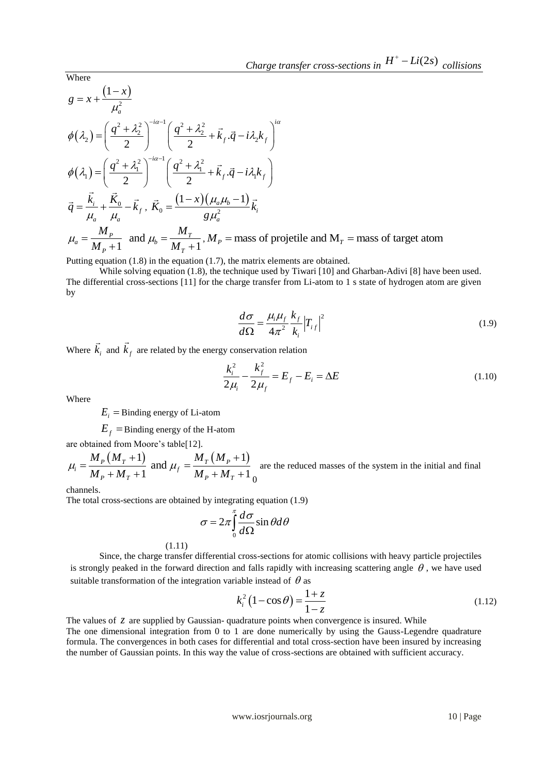Where  
\n
$$
g = x + \frac{(1-x)}{\mu_a^2}
$$
\n
$$
\phi(\lambda_2) = \left(\frac{q^2 + \lambda_2^2}{2}\right)^{-i\alpha - 1} \left(\frac{q^2 + \lambda_2^2}{2} + \vec{k}_f \cdot \vec{q} - i\lambda_2 k_f\right)^{i\alpha}
$$
\n
$$
\phi(\lambda_1) = \left(\frac{q^2 + \lambda_1^2}{2}\right)^{-i\alpha - 1} \left(\frac{q^2 + \lambda_1^2}{2} + \vec{k}_f \cdot \vec{q} - i\lambda_1 k_f\right)
$$
\n
$$
\vec{q} = \frac{\vec{k}_i}{\mu_a} + \frac{\vec{K}_0}{\mu_a} - \vec{k}_f, \ \vec{K}_0 = \frac{(1-x)(\mu_a\mu_b - 1)}{g\mu_a^2}\vec{k}_i
$$
\n
$$
\mu_a = \frac{M_P}{M_P + 1} \text{ and } \mu_b = \frac{M_T}{M_T + 1}, M_P = \text{mass of projectile and } M_T = \text{mass of target atom}
$$

Putting equation (1.8) in the equation (1.7), the matrix elements are obtained.

While solving equation (1.8), the technique used by Tiwari [10] and Gharban-Adivi [8] have been used. The differential cross-sections [11] for the charge transfer from Li-atom to 1 s state of hydrogen atom are given by

$$
\frac{d\sigma}{d\Omega} = \frac{\mu_i \mu_f}{4\pi^2} \frac{k_f}{k_i} \left| T_{if} \right|^2 \tag{1.9}
$$

Where  $k_i$  $\overline{a}$ and  $k_f$  $\rightarrow$ are related by the energy conservation relation

$$
\frac{k_i^2}{2\mu_i} - \frac{k_f^2}{2\mu_f} = E_f - E_i = \Delta E
$$
 (1.10)

Where

 $E_i$  = Binding energy of Li-atom

 $E_f$  = Binding energy of the H-atom

are obtained from Moore's table[12].  
\n
$$
\mu_i = \frac{M_P (M_T + 1)}{M_P + M_T + 1}
$$
 and  $\mu_f = \frac{M_T (M_P + 1)}{M_P + M_T + 1}$  are the reduced masses of the system in the initial and final

channels.

The total cross-sections are obtained by integrating equation (1.9)

$$
\sigma = 2\pi \int_{0}^{\pi} \frac{d\sigma}{d\Omega} \sin \theta d\theta
$$

(1.11)

Since, the charge transfer differential cross-sections for atomic collisions with heavy particle projectiles is strongly peaked in the forward direction and falls rapidly with increasing scattering angle  $\theta$ , we have used suitable transformation of the integration variable instead of  $\theta$  as

$$
k_i^2 (1 - \cos \theta) = \frac{1 + z}{1 - z}
$$
 (1.12)

The values of  $\zeta$  are supplied by Gaussian- quadrature points when convergence is insured. While The one dimensional integration from 0 to 1 are done numerically by using the Gauss-Legendre quadrature formula. The convergences in both cases for differential and total cross-section have been insured by increasing the number of Gaussian points. In this way the value of cross-sections are obtained with sufficient accuracy.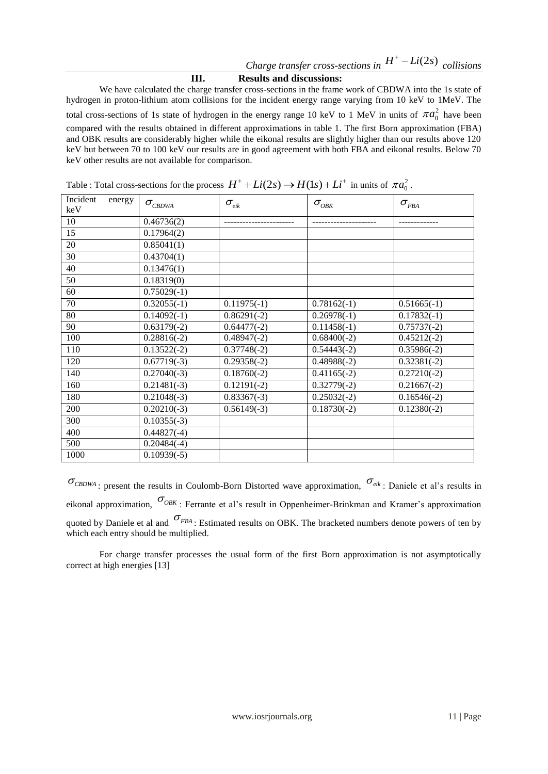## **III. Results and discussions:**

We have calculated the charge transfer cross-sections in the frame work of CBDWA into the 1s state of hydrogen in proton-lithium atom collisions for the incident energy range varying from 10 keV to 1MeV. The total cross-sections of 1s state of hydrogen in the energy range 10 keV to 1 MeV in units of  $\pi a_0^2$  have been compared with the results obtained in different approximations in table 1. The first Born approximation (FBA) and OBK results are considerably higher while the eikonal results are slightly higher than our results above 120 keV but between 70 to 100 keV our results are in good agreement with both FBA and eikonal results. Below 70 keV other results are not available for comparison.

| Incident<br>energy<br>keV | $\sigma_{\textit{CBDWA}}$ | $\sigma_{\scriptscriptstyle eik}$ | $\sigma_{_{O\!B\!K}}$ | $\sigma_{\rm \scriptscriptstyle FBA}$ |
|---------------------------|---------------------------|-----------------------------------|-----------------------|---------------------------------------|
| 10                        | 0.46736(2)                |                                   |                       |                                       |
| 15                        | 0.17964(2)                |                                   |                       |                                       |
| 20                        | 0.85041(1)                |                                   |                       |                                       |
| 30                        | $\sqrt{0.43704(1)}$       |                                   |                       |                                       |
| 40                        | 0.13476(1)                |                                   |                       |                                       |
| 50                        | 0.18319(0)                |                                   |                       |                                       |
| 60                        | $0.75029(-1)$             |                                   |                       |                                       |
| 70                        | $0.32055(-1)$             | $0.11975(-1)$                     | $0.78162(-1)$         | $0.51665(-1)$                         |
| 80                        | $0.14092(-1)$             | $0.86291(-2)$                     | $0.26978(-1)$         | $0.17832(-1)$                         |
| 90                        | $0.63179(-2)$             | $0.64477(-2)$                     | $0.11458(-1)$         | $0.75737(-2)$                         |
| 100                       | $0.28816(-2)$             | $0.48947(-2)$                     | $0.68400(-2)$         | $0.45212(-2)$                         |
| 110                       | $0.13522(-2)$             | $0.37748(-2)$                     | $0.54443(-2)$         | $0.35986(-2)$                         |
| 120                       | $0.67719(-3)$             | $0.29358(-2)$                     | $0.48988(-2)$         | $0.32381(-2)$                         |
| 140                       | $\overline{0.27040(-3)}$  | $0.18760(-2)$                     | $0.41165(-2)$         | $0.27210(-2)$                         |
| 160                       | $0.21481(-3)$             | $0.12191(-2)$                     | $0.32779(-2)$         | $0.21667(-2)$                         |
| 180                       | $0.21048(-3)$             | $0.83367(-3)$                     | $0.25032(-2)$         | $0.16546(-2)$                         |
| 200                       | $0.20210(-3)$             | $0.56149(-3)$                     | $0.18730(-2)$         | $0.12380(-2)$                         |
| 300                       | $\overline{0.1}0355(-3)$  |                                   |                       |                                       |
| 400                       | $0.44827(-4)$             |                                   |                       |                                       |
| 500                       | $0.20484(-4)$             |                                   |                       |                                       |
| 1000                      | $0.10939(-5)$             |                                   |                       |                                       |

Table : Total cross-sections for the process  $H^+ + Li(2s) \rightarrow H(1s) + Li^+$  in units of  $\pi a_0^2$ .

 $\sigma_{CBDWA}$ : present the results in Coulomb-Born Distorted wave approximation,  $\sigma_{eik}$ : Daniele et al's results in eikonal approximation,  $\sigma_{OBK}$ : Ferrante et al's result in Oppenheimer-Brinkman and Kramer's approximation quoted by Daniele et al and  $\sigma_{\text{FBA}}$ : Estimated results on OBK. The bracketed numbers denote powers of ten by which each entry should be multiplied.

For charge transfer processes the usual form of the first Born approximation is not asymptotically correct at high energies [13]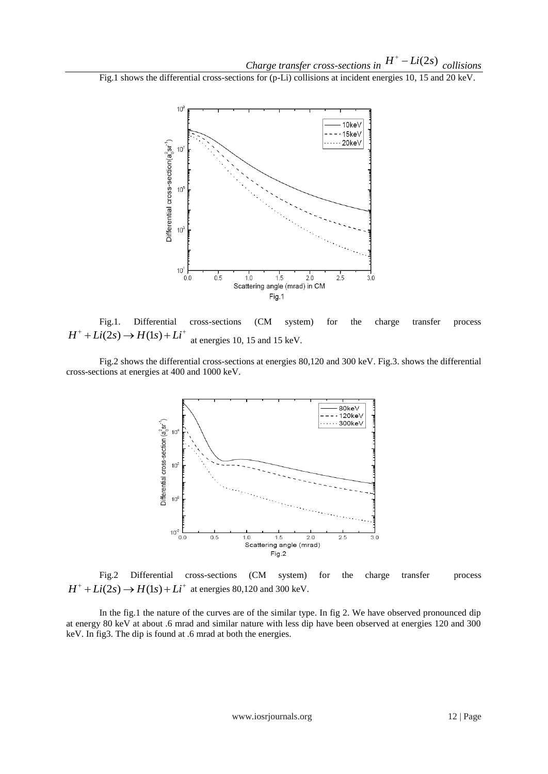Fig.1 shows the differential cross-sections for (p-Li) collisions at incident energies 10, 15 and 20 keV.



Fig.1. Differential cross-sections (CM system) for the charge transfer process  $H^+ + Li(2s) \rightarrow H(1s) + Li^+$ at energies 10, 15 and 15 keV.

Fig.2 shows the differential cross-sections at energies 80,120 and 300 keV. Fig.3. shows the differential cross-sections at energies at 400 and 1000 keV.



Fig.2 Differential cross-sections (CM system) for the charge transfer process *H*<sup>+</sup> +  $Li(2s) \rightarrow H(1s) + Li^+$  at energies 80,120 and 300 keV.

In the fig.1 the nature of the curves are of the similar type. In fig 2. We have observed pronounced dip at energy 80 keV at about .6 mrad and similar nature with less dip have been observed at energies 120 and 300 keV. In fig3. The dip is found at .6 mrad at both the energies.